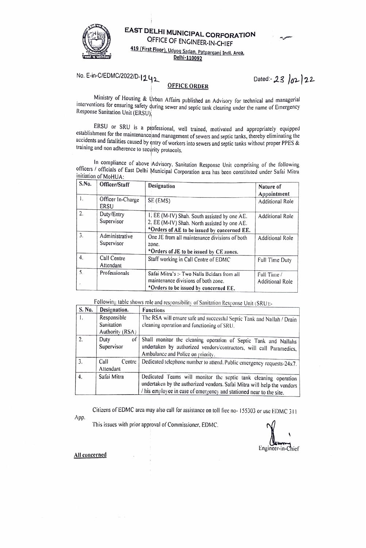

EAST DELHI MUNICIPAL CORPORATION OFFICE OF ENGINEER-IN-CHIEF

419 (First Floor), Udyog Sadan, Patparganj Indl. Area, Delhi-110092

No. E-in-C/EDMC/2022/D-1242

## **OFFICE ORDER**

Dated: 23  $|02|22$ 

Ministry of Housing & Urban Affairs published an Advisory for technical and managerial interventions for ensuring safety during sewer and septic tank cleaning under the name of Emergency Response Sanitation Unit (ERSU),

ERSU or SRU is a professional, well trained, motivated and appropriately equipped establishment for the maintenance and management of sewers and septic tanks, thereby eliminating the accidents and fatalities caused by entry of workers into sewers and septic tanks without proper PPES & training and non adherence to security protocols.

In compliance of above Advisory, Sanitation Response Unit comprising of the following officers / officials of East Delhi Municipal Corporation area has been constituted under Safai Mitra initiation of MoHUA:

| S.N <sub>0</sub> | Officer/Staff                | Designation                                                                                                                                 | Nature of<br>Appointment              |
|------------------|------------------------------|---------------------------------------------------------------------------------------------------------------------------------------------|---------------------------------------|
| I.               | Officer In-Charge<br>ERSU    | SE (EMS)                                                                                                                                    | <b>Additional Role</b>                |
| 2.               | Duty/Entry<br>Supervisor     | 1. EE (M-IV) Shah. South assisted by one AE.<br>2. EE (M-IV) Shah. North assisted by one AE.<br>*Orders of AE to be issued by concerned EE. | Additional Role                       |
| $\overline{3}$ . | Administrative<br>Supervisor | One JE from all maintenance divisions of both<br>zone.<br>*Orders of JE to be issued by CE zones.                                           | Additional Role                       |
| 4.               | Call Centre<br>Attendant     | Staff working in Call Centre of EDMC                                                                                                        | Full Time Duty                        |
| 5.               | Professionals                | Safai Mitra's :- Two Nalla Beldars from all<br>maintenance divisions of both zone.<br>*Orders to be issued by concerned EE.                 | Full Time /<br><b>Additional Role</b> |

Following table shows role and responsibility of Sanitation Response Unit (SRU):-

| S. No. | Designation.                                                                                                                                                                                                                     | <b>Functions</b>                                                                                                                                                            |  |
|--------|----------------------------------------------------------------------------------------------------------------------------------------------------------------------------------------------------------------------------------|-----------------------------------------------------------------------------------------------------------------------------------------------------------------------------|--|
| 1.     | Responsible                                                                                                                                                                                                                      | The RSA will ensure safe and successful Septic Tank and Nallah / Drain                                                                                                      |  |
|        | Sanitation                                                                                                                                                                                                                       | cleaning operation and functioning of SRU.                                                                                                                                  |  |
|        | Authority (RSA)                                                                                                                                                                                                                  |                                                                                                                                                                             |  |
| 2.     | oť<br>Duty<br>Supervisor                                                                                                                                                                                                         | Shall monitor the cleaning operation of Septic Tank and Nallahs<br>undertaken by authorized vendors/contractors, will call Paramedics,<br>Ambulance and Police on priority. |  |
| 3.     | Call<br>Centre<br>Attendant                                                                                                                                                                                                      | Dedicated telephone number to attend. Public emergency requests-24x7.                                                                                                       |  |
| 4.     | Safai Mitra<br>Dedicated Teams will monitor the septic tank cleaning operation<br>undertaken by the authorized vendors. Safai Mitra will help the vendors<br>/ his employee in case of emergency and stationed near to the site. |                                                                                                                                                                             |  |

Citizens of EDMC area may also call for assistance on toll free no-155303 or use EDMC 311

App.

This issues with prior approval of Commissioner, EDMC.

Engineer-in-Chief

All concerned